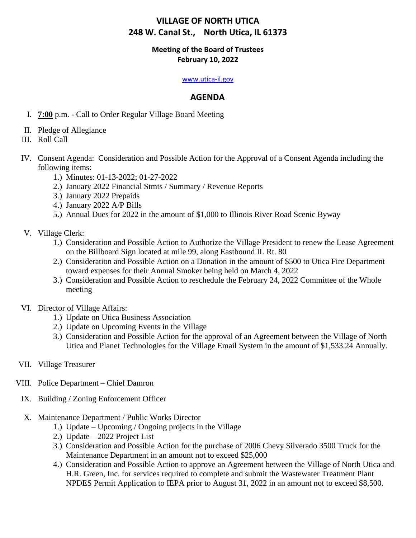## **Meeting of the Board of Trustees February 10, 2022**

#### [www.utica-il.gov](http://www.utica-il.gov/)

## **AGENDA**

- I. **7:00** p.m. Call to Order Regular Village Board Meeting
- II. Pledge of Allegiance
- III. Roll Call
- IV. Consent Agenda: Consideration and Possible Action for the Approval of a Consent Agenda including the following items:
	- 1.) Minutes: 01-13-2022; 01-27-2022
	- 2.) January 2022 Financial Stmts / Summary / Revenue Reports
	- 3.) January 2022 Prepaids
	- 4.) January 2022 A/P Bills
	- 5.) Annual Dues for 2022 in the amount of \$1,000 to Illinois River Road Scenic Byway
- V. Village Clerk:
	- 1.) Consideration and Possible Action to Authorize the Village President to renew the Lease Agreement on the Billboard Sign located at mile 99, along Eastbound IL Rt. 80
	- 2.) Consideration and Possible Action on a Donation in the amount of \$500 to Utica Fire Department toward expenses for their Annual Smoker being held on March 4, 2022
	- 3.) Consideration and Possible Action to reschedule the February 24, 2022 Committee of the Whole meeting
- VI. Director of Village Affairs:
	- 1.) Update on Utica Business Association
	- 2.) Update on Upcoming Events in the Village
	- 3.) Consideration and Possible Action for the approval of an Agreement between the Village of North Utica and Planet Technologies for the Village Email System in the amount of \$1,533.24 Annually.
- VII. Village Treasurer
- VIII. Police Department Chief Damron
- IX. Building / Zoning Enforcement Officer
- X. Maintenance Department / Public Works Director
	- 1.) Update Upcoming / Ongoing projects in the Village
	- 2.) Update 2022 Project List
	- 3.) Consideration and Possible Action for the purchase of 2006 Chevy Silverado 3500 Truck for the Maintenance Department in an amount not to exceed \$25,000
	- 4.) Consideration and Possible Action to approve an Agreement between the Village of North Utica and H.R. Green, Inc. for services required to complete and submit the Wastewater Treatment Plant NPDES Permit Application to IEPA prior to August 31, 2022 in an amount not to exceed \$8,500.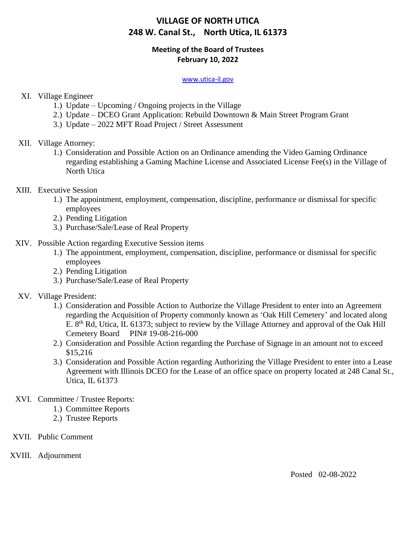## **Meeting of the Board of Trustees February 10, 2022**

#### [www.utica-il.gov](http://www.utica-il.gov/)

## XI. Village Engineer

- 1.) Update Upcoming / Ongoing projects in the Village
- 2.) Update DCEO Grant Application: Rebuild Downtown & Main Street Program Grant
- 3.) Update 2022 MFT Road Project / Street Assessment

### XII. Village Attorney:

- 1.) Consideration and Possible Action on an Ordinance amending the Video Gaming Ordinance regarding establishing a Gaming Machine License and Associated License Fee(s) in the Village of North Utica
- XIII. Executive Session
	- 1.) The appointment, employment, compensation, discipline, performance or dismissal for specific employees
	- 2.) Pending Litigation
	- 3.) Purchase/Sale/Lease of Real Property
- XIV. Possible Action regarding Executive Session items
	- 1.) The appointment, employment, compensation, discipline, performance or dismissal for specific employees
	- 2.) Pending Litigation
	- 3.) Purchase/Sale/Lease of Real Property

### XV. Village President:

- 1.) Consideration and Possible Action to Authorize the Village President to enter into an Agreement regarding the Acquisition of Property commonly known as 'Oak Hill Cemetery' and located along E. 8<sup>th</sup> Rd, Utica, IL 61373; subject to review by the Village Attorney and approval of the Oak Hill Cemetery Board PIN# 19-08-216-000
- 2.) Consideration and Possible Action regarding the Purchase of Signage in an amount not to exceed \$15,216
- 3.) Consideration and Possible Action regarding Authorizing the Village President to enter into a Lease Agreement with Illinois DCEO for the Lease of an office space on property located at 248 Canal St., Utica, IL 61373
- XVI. Committee / Trustee Reports:
	- 1.) Committee Reports
	- 2.) Trustee Reports
- XVII. Public Comment
- XVIII. Adjournment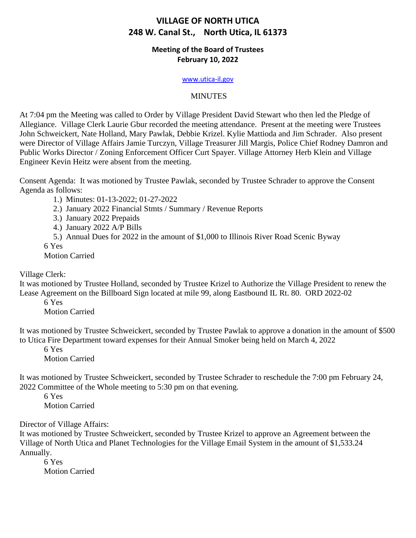## **Meeting of the Board of Trustees February 10, 2022**

#### [www.utica-il.gov](http://www.utica-il.gov/)

## MINUTES

At 7:04 pm the Meeting was called to Order by Village President David Stewart who then led the Pledge of Allegiance. Village Clerk Laurie Gbur recorded the meeting attendance. Present at the meeting were Trustees John Schweickert, Nate Holland, Mary Pawlak, Debbie Krizel. Kylie Mattioda and Jim Schrader. Also present were Director of Village Affairs Jamie Turczyn, Village Treasurer Jill Margis, Police Chief Rodney Damron and Public Works Director / Zoning Enforcement Officer Curt Spayer. Village Attorney Herb Klein and Village Engineer Kevin Heitz were absent from the meeting.

Consent Agenda: It was motioned by Trustee Pawlak, seconded by Trustee Schrader to approve the Consent Agenda as follows:

1.) Minutes: 01-13-2022; 01-27-2022

2.) January 2022 Financial Stmts / Summary / Revenue Reports

3.) January 2022 Prepaids

4.) January 2022 A/P Bills

5.) Annual Dues for 2022 in the amount of \$1,000 to Illinois River Road Scenic Byway

6 Yes

Motion Carried

Village Clerk:

It was motioned by Trustee Holland, seconded by Trustee Krizel to Authorize the Village President to renew the Lease Agreement on the Billboard Sign located at mile 99, along Eastbound IL Rt. 80. ORD 2022-02

6 Yes Motion Carried

It was motioned by Trustee Schweickert, seconded by Trustee Pawlak to approve a donation in the amount of \$500 to Utica Fire Department toward expenses for their Annual Smoker being held on March 4, 2022

6 Yes

Motion Carried

It was motioned by Trustee Schweickert, seconded by Trustee Schrader to reschedule the 7:00 pm February 24, 2022 Committee of the Whole meeting to 5:30 pm on that evening.

6 Yes Motion Carried

Director of Village Affairs:

It was motioned by Trustee Schweickert, seconded by Trustee Krizel to approve an Agreement between the Village of North Utica and Planet Technologies for the Village Email System in the amount of \$1,533.24 Annually.

6 Yes Motion Carried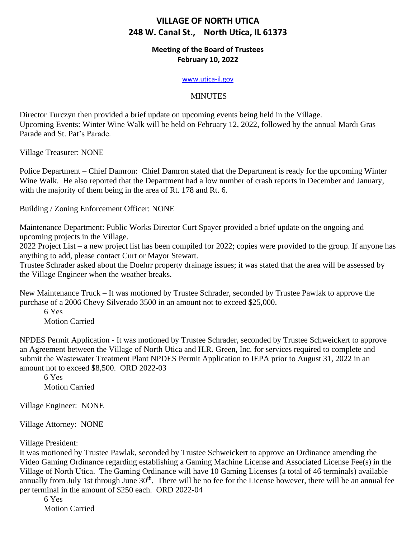## **Meeting of the Board of Trustees February 10, 2022**

#### [www.utica-il.gov](http://www.utica-il.gov/)

## MINUTES

Director Turczyn then provided a brief update on upcoming events being held in the Village. Upcoming Events: Winter Wine Walk will be held on February 12, 2022, followed by the annual Mardi Gras Parade and St. Pat's Parade.

Village Treasurer: NONE

Police Department – Chief Damron: Chief Damron stated that the Department is ready for the upcoming Winter Wine Walk. He also reported that the Department had a low number of crash reports in December and January, with the majority of them being in the area of Rt. 178 and Rt. 6.

Building / Zoning Enforcement Officer: NONE

Maintenance Department: Public Works Director Curt Spayer provided a brief update on the ongoing and upcoming projects in the Village.

2022 Project List – a new project list has been compiled for 2022; copies were provided to the group. If anyone has anything to add, please contact Curt or Mayor Stewart.

Trustee Schrader asked about the Doehrr property drainage issues; it was stated that the area will be assessed by the Village Engineer when the weather breaks.

New Maintenance Truck – It was motioned by Trustee Schrader, seconded by Trustee Pawlak to approve the purchase of a 2006 Chevy Silverado 3500 in an amount not to exceed \$25,000.

6 Yes Motion Carried

NPDES Permit Application - It was motioned by Trustee Schrader, seconded by Trustee Schweickert to approve an Agreement between the Village of North Utica and H.R. Green, Inc. for services required to complete and submit the Wastewater Treatment Plant NPDES Permit Application to IEPA prior to August 31, 2022 in an amount not to exceed \$8,500. ORD 2022-03

6 Yes Motion Carried

Village Engineer: NONE

Village Attorney: NONE

Village President:

It was motioned by Trustee Pawlak, seconded by Trustee Schweickert to approve an Ordinance amending the Video Gaming Ordinance regarding establishing a Gaming Machine License and Associated License Fee(s) in the Village of North Utica. The Gaming Ordinance will have 10 Gaming Licenses (a total of 46 terminals) available annually from July 1st through June 30<sup>th</sup>. There will be no fee for the License however, there will be an annual fee per terminal in the amount of \$250 each. ORD 2022-04

6 Yes

Motion Carried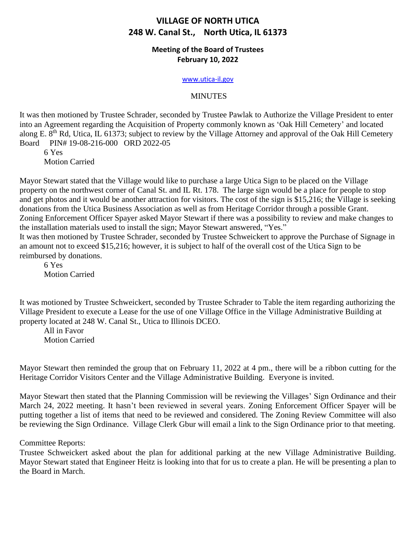## **Meeting of the Board of Trustees February 10, 2022**

#### [www.utica-il.gov](http://www.utica-il.gov/)

#### MINUTES

It was then motioned by Trustee Schrader, seconded by Trustee Pawlak to Authorize the Village President to enter into an Agreement regarding the Acquisition of Property commonly known as 'Oak Hill Cemetery' and located along E. 8<sup>th</sup> Rd, Utica, IL 61373; subject to review by the Village Attorney and approval of the Oak Hill Cemetery Board PIN# 19-08-216-000 ORD 2022-05

6 Yes Motion Carried

Mayor Stewart stated that the Village would like to purchase a large Utica Sign to be placed on the Village property on the northwest corner of Canal St. and IL Rt. 178. The large sign would be a place for people to stop and get photos and it would be another attraction for visitors. The cost of the sign is \$15,216; the Village is seeking donations from the Utica Business Association as well as from Heritage Corridor through a possible Grant. Zoning Enforcement Officer Spayer asked Mayor Stewart if there was a possibility to review and make changes to the installation materials used to install the sign; Mayor Stewart answered, "Yes."

It was then motioned by Trustee Schrader, seconded by Trustee Schweickert to approve the Purchase of Signage in an amount not to exceed \$15,216; however, it is subject to half of the overall cost of the Utica Sign to be reimbursed by donations.

6 Yes Motion Carried

It was motioned by Trustee Schweickert, seconded by Trustee Schrader to Table the item regarding authorizing the Village President to execute a Lease for the use of one Village Office in the Village Administrative Building at property located at 248 W. Canal St., Utica to Illinois DCEO.

All in Favor Motion Carried

Mayor Stewart then reminded the group that on February 11, 2022 at 4 pm., there will be a ribbon cutting for the Heritage Corridor Visitors Center and the Village Administrative Building. Everyone is invited.

Mayor Stewart then stated that the Planning Commission will be reviewing the Villages' Sign Ordinance and their March 24, 2022 meeting. It hasn't been reviewed in several years. Zoning Enforcement Officer Spayer will be putting together a list of items that need to be reviewed and considered. The Zoning Review Committee will also be reviewing the Sign Ordinance. Village Clerk Gbur will email a link to the Sign Ordinance prior to that meeting.

Committee Reports:

Trustee Schweickert asked about the plan for additional parking at the new Village Administrative Building. Mayor Stewart stated that Engineer Heitz is looking into that for us to create a plan. He will be presenting a plan to the Board in March.